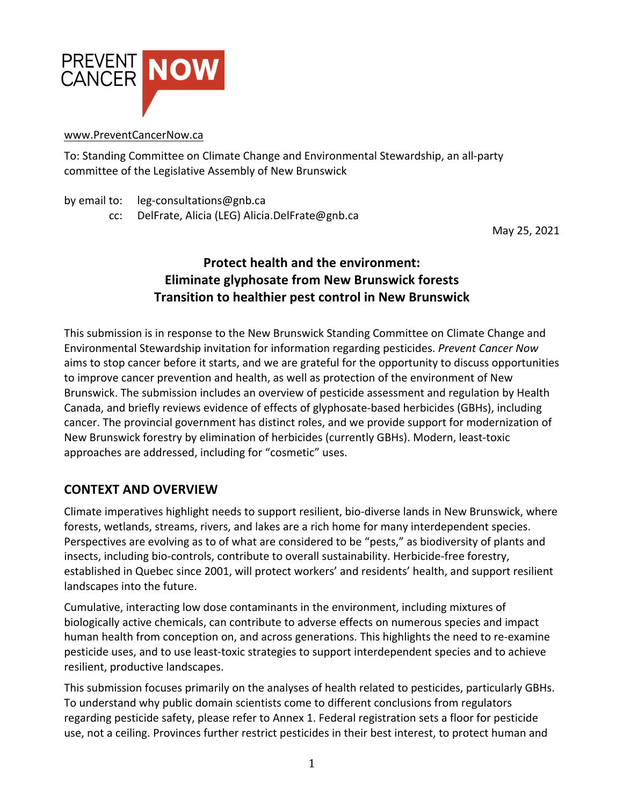

#### www.PreventCancerNow.ca

To: Standing Committee on Climate Change and Environmental Stewardship, an all-party committee of the Legislative Assembly of New Brunswick

by email to: leg-consultations@gnb.ca

cc: DelFrate, Alicia (LEG) Alicia.DelFrate@gnb.ca

May 25, 2021

# **Protect health and the environment: Eliminate glyphosate from New Brunswick forests Transition to healthier pest control in New Brunswick**

This submission is in response to the New Brunswick Standing Committee on Climate Change and Environmental Stewardship invitation for information regarding pesticides. *Prevent Cancer Now* aims to stop cancer before it starts, and we are grateful for the opportunity to discuss opportunities to improve cancer prevention and health, as well as protection of the environment of New Brunswick. The submission includes an overview of pesticide assessment and regulation by Health Canada, and briefly reviews evidence of effects of glyphosate-based herbicides (GBHs), including cancer. The provincial government has distinct roles, and we provide support for modernization of New Brunswick forestry by elimination of herbicides (currently GBHs). Modern, least-toxic approaches are addressed, including for "cosmetic" uses.

#### **CONTEXT AND OVERVIEW**

Climate imperatives highlight needs to support resilient, bio-diverse lands in New Brunswick, where forests, wetlands, streams, rivers, and lakes are a rich home for many interdependent species. Perspectives are evolving as to of what are considered to be "pests," as biodiversity of plants and insects, including bio-controls, contribute to overall sustainability. Herbicide-free forestry, established in Quebec since 2001, will protect workers' and residents' health, and support resilient landscapes into the future.

Cumulative, interacting low dose contaminants in the environment, including mixtures of biologically active chemicals, can contribute to adverse effects on numerous species and impact human health from conception on, and across generations. This highlights the need to re-examine pesticide uses, and to use least-toxic strategies to support interdependent species and to achieve resilient, productive landscapes.

This submission focuses primarily on the analyses of health related to pesticides, particularly GBHs. To understand why public domain scientists come to different conclusions from regulators regarding pesticide safety, please refer to Annex 1. Federal registration sets a floor for pesticide use, not a ceiling. Provinces further restrict pesticides in their best interest, to protect human and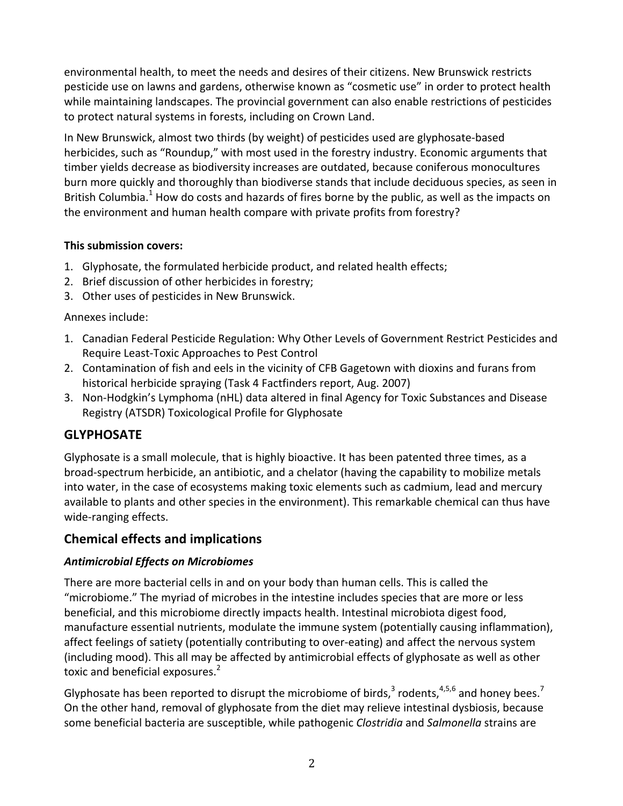environmental health, to meet the needs and desires of their citizens. New Brunswick restricts pesticide use on lawns and gardens, otherwise known as "cosmetic use" in order to protect health while maintaining landscapes. The provincial government can also enable restrictions of pesticides to protect natural systems in forests, including on Crown Land.

In New Brunswick, almost two thirds (by weight) of pesticides used are glyphosate-based herbicides, such as "Roundup," with most used in the forestry industry. Economic arguments that timber yields decrease as biodiversity increases are outdated, because coniferous monocultures burn more quickly and thoroughly than biodiverse stands that include deciduous species, as seen in British Columbia.<sup>1</sup> How do costs and hazards of fires borne by the public, as well as the impacts on the environment and human health compare with private profits from forestry?

#### **This submission covers:**

- 1. Glyphosate, the formulated herbicide product, and related health effects;
- 2. Brief discussion of other herbicides in forestry;
- 3. Other uses of pesticides in New Brunswick.

Annexes include:

- 1. Canadian Federal Pesticide Regulation: Why Other Levels of Government Restrict Pesticides and Require Least-Toxic Approaches to Pest Control
- 2. Contamination of fish and eels in the vicinity of CFB Gagetown with dioxins and furans from historical herbicide spraying (Task 4 Factfinders report, Aug. 2007)
- 3. Non-Hodgkin's Lymphoma (nHL) data altered in final Agency for Toxic Substances and Disease Registry (ATSDR) Toxicological Profile for Glyphosate

# **GLYPHOSATE**

Glyphosate is a small molecule, that is highly bioactive. It has been patented three times, as a broad-spectrum herbicide, an antibiotic, and a chelator (having the capability to mobilize metals into water, in the case of ecosystems making toxic elements such as cadmium, lead and mercury available to plants and other species in the environment). This remarkable chemical can thus have wide-ranging effects.

## **Chemical effects and implications**

## *Antimicrobial Effects on Microbiomes*

There are more bacterial cells in and on your body than human cells. This is called the "microbiome." The myriad of microbes in the intestine includes species that are more or less beneficial, and this microbiome directly impacts health. Intestinal microbiota digest food, manufacture essential nutrients, modulate the immune system (potentially causing inflammation), affect feelings of satiety (potentially contributing to over-eating) and affect the nervous system (including mood). This all may be affected by antimicrobial effects of glyphosate as well as other toxic and beneficial exposures.<sup>2</sup>

Glyphosate has been reported to disrupt the microbiome of birds,  $3$  rodents,  $4,5,6$  and honey bees.<sup>7</sup> On the other hand, removal of glyphosate from the diet may relieve intestinal dysbiosis, because some beneficial bacteria are susceptible, while pathogenic *Clostridia* and *Salmonella* strains are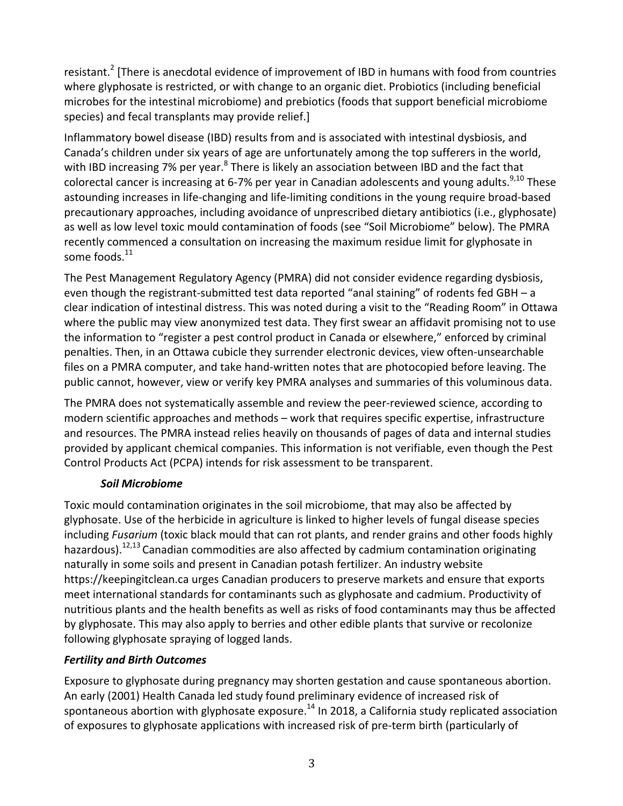resistant.<sup>2</sup> [There is anecdotal evidence of improvement of IBD in humans with food from countries where glyphosate is restricted, or with change to an organic diet. Probiotics (including beneficial microbes for the intestinal microbiome) and prebiotics (foods that support beneficial microbiome species) and fecal transplants may provide relief.]

Inflammatory bowel disease (IBD) results from and is associated with intestinal dysbiosis, and Canada's children under six years of age are unfortunately among the top sufferers in the world, with IBD increasing 7% per year.<sup>8</sup> There is likely an association between IBD and the fact that colorectal cancer is increasing at 6-7% per year in Canadian adolescents and young adults.<sup>9,10</sup> These astounding increases in life-changing and life-limiting conditions in the young require broad-based precautionary approaches, including avoidance of unprescribed dietary antibiotics (i.e., glyphosate) as well as low level toxic mould contamination of foods (see "Soil Microbiome" below). The PMRA recently commenced a consultation on increasing the maximum residue limit for glyphosate in some foods.<sup>11</sup>

The Pest Management Regulatory Agency (PMRA) did not consider evidence regarding dysbiosis, even though the registrant-submitted test data reported "anal staining" of rodents fed GBH – a clear indication of intestinal distress. This was noted during a visit to the "Reading Room" in Ottawa where the public may view anonymized test data. They first swear an affidavit promising not to use the information to "register a pest control product in Canada or elsewhere," enforced by criminal penalties. Then, in an Ottawa cubicle they surrender electronic devices, view often-unsearchable files on a PMRA computer, and take hand-written notes that are photocopied before leaving. The public cannot, however, view or verify key PMRA analyses and summaries of this voluminous data.

The PMRA does not systematically assemble and review the peer-reviewed science, according to modern scientific approaches and methods – work that requires specific expertise, infrastructure and resources. The PMRA instead relies heavily on thousands of pages of data and internal studies provided by applicant chemical companies. This information is not verifiable, even though the Pest Control Products Act (PCPA) intends for risk assessment to be transparent.

#### *Soil Microbiome*

Toxic mould contamination originates in the soil microbiome, that may also be affected by glyphosate. Use of the herbicide in agriculture is linked to higher levels of fungal disease species including *Fusarium* (toxic black mould that can rot plants, and render grains and other foods highly hazardous).<sup>12,13</sup> Canadian commodities are also affected by cadmium contamination originating naturally in some soils and present in Canadian potash fertilizer. An industry website https://keepingitclean.ca urges Canadian producers to preserve markets and ensure that exports meet international standards for contaminants such as glyphosate and cadmium. Productivity of nutritious plants and the health benefits as well as risks of food contaminants may thus be affected by glyphosate. This may also apply to berries and other edible plants that survive or recolonize following glyphosate spraying of logged lands.

#### *Fertility and Birth Outcomes*

Exposure to glyphosate during pregnancy may shorten gestation and cause spontaneous abortion. An early (2001) Health Canada led study found preliminary evidence of increased risk of spontaneous abortion with glyphosate exposure.<sup>14</sup> In 2018, a California study replicated association of exposures to glyphosate applications with increased risk of pre-term birth (particularly of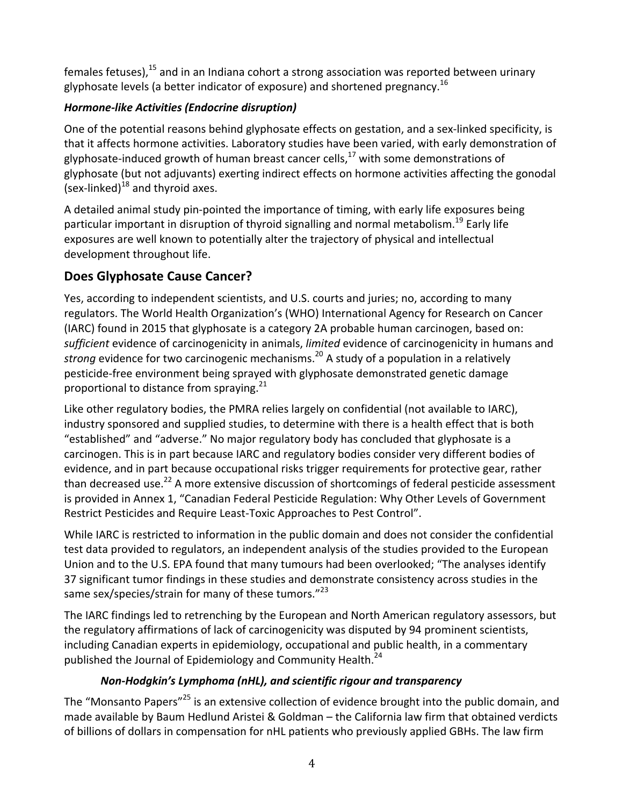females fetuses),<sup>15</sup> and in an Indiana cohort a strong association was reported between urinary glyphosate levels (a better indicator of exposure) and shortened pregnancy.<sup>16</sup>

## *Hormone-like Activities (Endocrine disruption)*

One of the potential reasons behind glyphosate effects on gestation, and a sex-linked specificity, is that it affects hormone activities. Laboratory studies have been varied, with early demonstration of glyphosate-induced growth of human breast cancer cells,<sup>17</sup> with some demonstrations of glyphosate (but not adjuvants) exerting indirect effects on hormone activities affecting the gonodal (sex-linked)<sup>18</sup> and thyroid axes.

A detailed animal study pin-pointed the importance of timing, with early life exposures being particular important in disruption of thyroid signalling and normal metabolism.<sup>19</sup> Early life exposures are well known to potentially alter the trajectory of physical and intellectual development throughout life.

# **Does Glyphosate Cause Cancer?**

Yes, according to independent scientists, and U.S. courts and juries; no, according to many regulators. The World Health Organization's (WHO) International Agency for Research on Cancer (IARC) found in 2015 that glyphosate is a category 2A probable human carcinogen, based on: sufficient evidence of carcinogenicity in animals, *limited* evidence of carcinogenicity in humans and *strong* evidence for two carcinogenic mechanisms.<sup>20</sup> A study of a population in a relatively pesticide-free environment being sprayed with glyphosate demonstrated genetic damage proportional to distance from spraying. $21$ 

Like other regulatory bodies, the PMRA relies largely on confidential (not available to IARC), industry sponsored and supplied studies, to determine with there is a health effect that is both "established" and "adverse." No major regulatory body has concluded that glyphosate is a carcinogen. This is in part because IARC and regulatory bodies consider very different bodies of evidence, and in part because occupational risks trigger requirements for protective gear, rather than decreased use.<sup>22</sup> A more extensive discussion of shortcomings of federal pesticide assessment is provided in Annex 1, "Canadian Federal Pesticide Regulation: Why Other Levels of Government Restrict Pesticides and Require Least-Toxic Approaches to Pest Control".

While IARC is restricted to information in the public domain and does not consider the confidential test data provided to regulators, an independent analysis of the studies provided to the European Union and to the U.S. EPA found that many tumours had been overlooked; "The analyses identify 37 significant tumor findings in these studies and demonstrate consistency across studies in the same sex/species/strain for many of these tumors."<sup>23</sup>

The IARC findings led to retrenching by the European and North American regulatory assessors, but the regulatory affirmations of lack of carcinogenicity was disputed by 94 prominent scientists, including Canadian experts in epidemiology, occupational and public health, in a commentary published the Journal of Epidemiology and Community Health.<sup>24</sup>

## *Non-Hodgkin's Lymphoma (nHL), and scientific rigour and transparency*

The "Monsanto Papers"<sup>25</sup> is an extensive collection of evidence brought into the public domain, and made available by Baum Hedlund Aristei & Goldman - the California law firm that obtained verdicts of billions of dollars in compensation for nHL patients who previously applied GBHs. The law firm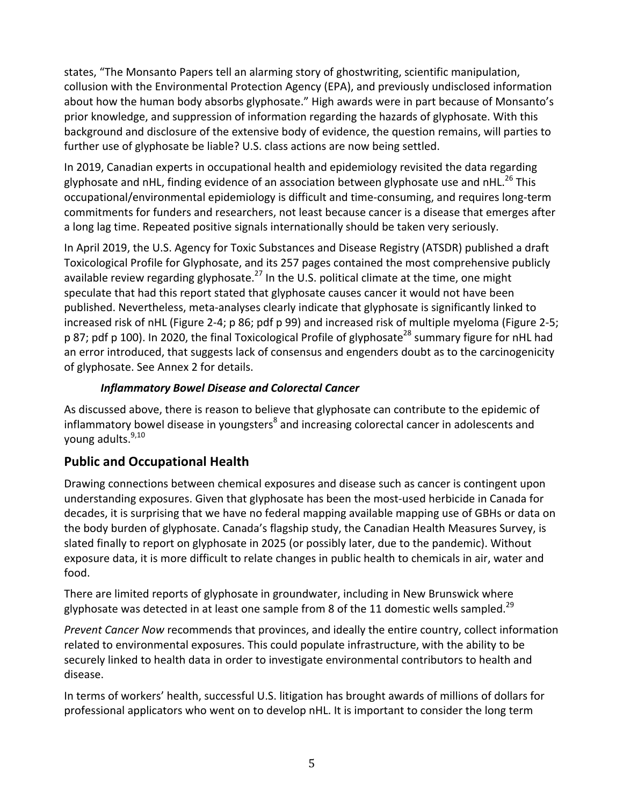states, "The Monsanto Papers tell an alarming story of ghostwriting, scientific manipulation, collusion with the Environmental Protection Agency (EPA), and previously undisclosed information about how the human body absorbs glyphosate." High awards were in part because of Monsanto's prior knowledge, and suppression of information regarding the hazards of glyphosate. With this background and disclosure of the extensive body of evidence, the question remains, will parties to further use of glyphosate be liable? U.S. class actions are now being settled.

In 2019, Canadian experts in occupational health and epidemiology revisited the data regarding glyphosate and nHL, finding evidence of an association between glyphosate use and nHL.<sup>26</sup> This occupational/environmental epidemiology is difficult and time-consuming, and requires long-term commitments for funders and researchers, not least because cancer is a disease that emerges after a long lag time. Repeated positive signals internationally should be taken very seriously.

In April 2019, the U.S. Agency for Toxic Substances and Disease Registry (ATSDR) published a draft Toxicological Profile for Glyphosate, and its 257 pages contained the most comprehensive publicly available review regarding glyphosate.<sup>27</sup> In the U.S. political climate at the time, one might speculate that had this report stated that glyphosate causes cancer it would not have been published. Nevertheless, meta-analyses clearly indicate that glyphosate is significantly linked to increased risk of nHL (Figure 2-4; p 86; pdf p 99) and increased risk of multiple myeloma (Figure 2-5; p 87; pdf p 100). In 2020, the final Toxicological Profile of glyphosate<sup>28</sup> summary figure for nHL had an error introduced, that suggests lack of consensus and engenders doubt as to the carcinogenicity of glyphosate. See Annex 2 for details.

#### *Inflammatory Bowel Disease and Colorectal Cancer*

As discussed above, there is reason to believe that glyphosate can contribute to the epidemic of inflammatory bowel disease in youngsters<sup>8</sup> and increasing colorectal cancer in adolescents and young adults.<sup>9,10</sup>

## **Public and Occupational Health**

Drawing connections between chemical exposures and disease such as cancer is contingent upon understanding exposures. Given that glyphosate has been the most-used herbicide in Canada for decades, it is surprising that we have no federal mapping available mapping use of GBHs or data on the body burden of glyphosate. Canada's flagship study, the Canadian Health Measures Survey, is slated finally to report on glyphosate in 2025 (or possibly later, due to the pandemic). Without exposure data, it is more difficult to relate changes in public health to chemicals in air, water and food.

There are limited reports of glyphosate in groundwater, including in New Brunswick where glyphosate was detected in at least one sample from 8 of the 11 domestic wells sampled.<sup>29</sup>

*Prevent Cancer Now recommends that provinces, and ideally the entire country, collect information* related to environmental exposures. This could populate infrastructure, with the ability to be securely linked to health data in order to investigate environmental contributors to health and disease.

In terms of workers' health, successful U.S. litigation has brought awards of millions of dollars for professional applicators who went on to develop nHL. It is important to consider the long term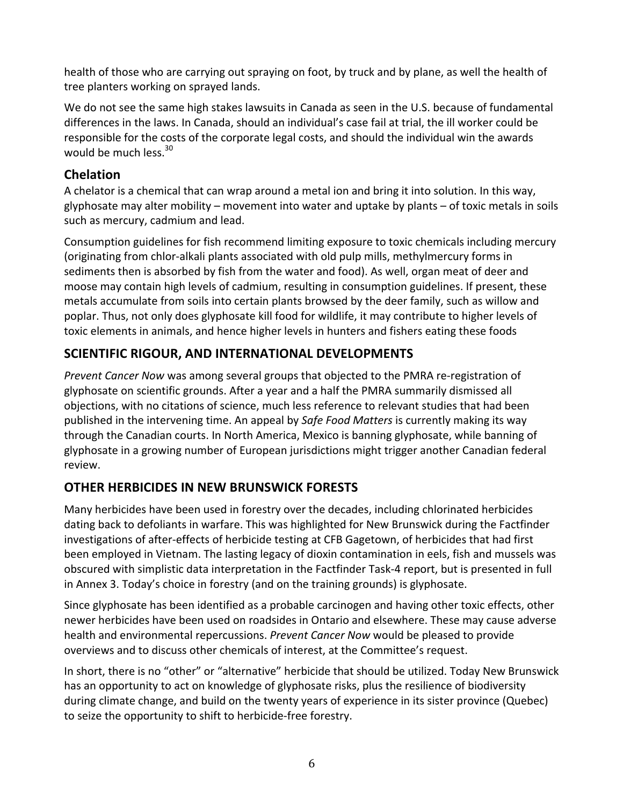health of those who are carrying out spraying on foot, by truck and by plane, as well the health of tree planters working on sprayed lands.

We do not see the same high stakes lawsuits in Canada as seen in the U.S. because of fundamental differences in the laws. In Canada, should an individual's case fail at trial, the ill worker could be responsible for the costs of the corporate legal costs, and should the individual win the awards would be much less.<sup>30</sup>

## **Chelation**

A chelator is a chemical that can wrap around a metal ion and bring it into solution. In this way, glyphosate may alter mobility – movement into water and uptake by plants – of toxic metals in soils such as mercury, cadmium and lead.

Consumption guidelines for fish recommend limiting exposure to toxic chemicals including mercury (originating from chlor-alkali plants associated with old pulp mills, methylmercury forms in sediments then is absorbed by fish from the water and food). As well, organ meat of deer and moose may contain high levels of cadmium, resulting in consumption guidelines. If present, these metals accumulate from soils into certain plants browsed by the deer family, such as willow and poplar. Thus, not only does glyphosate kill food for wildlife, it may contribute to higher levels of toxic elements in animals, and hence higher levels in hunters and fishers eating these foods

# **SCIENTIFIC RIGOUR, AND INTERNATIONAL DEVELOPMENTS**

*Prevent Cancer Now* was among several groups that objected to the PMRA re-registration of glyphosate on scientific grounds. After a year and a half the PMRA summarily dismissed all objections, with no citations of science, much less reference to relevant studies that had been published in the intervening time. An appeal by *Safe Food Matters* is currently making its way through the Canadian courts. In North America, Mexico is banning glyphosate, while banning of glyphosate in a growing number of European jurisdictions might trigger another Canadian federal review. 

# **OTHER HERBICIDES IN NEW BRUNSWICK FORESTS**

Many herbicides have been used in forestry over the decades, including chlorinated herbicides dating back to defoliants in warfare. This was highlighted for New Brunswick during the Factfinder investigations of after-effects of herbicide testing at CFB Gagetown, of herbicides that had first been employed in Vietnam. The lasting legacy of dioxin contamination in eels, fish and mussels was obscured with simplistic data interpretation in the Factfinder Task-4 report, but is presented in full in Annex 3. Today's choice in forestry (and on the training grounds) is glyphosate.

Since glyphosate has been identified as a probable carcinogen and having other toxic effects, other newer herbicides have been used on roadsides in Ontario and elsewhere. These may cause adverse health and environmental repercussions. *Prevent Cancer Now* would be pleased to provide overviews and to discuss other chemicals of interest, at the Committee's request.

In short, there is no "other" or "alternative" herbicide that should be utilized. Today New Brunswick has an opportunity to act on knowledge of glyphosate risks, plus the resilience of biodiversity during climate change, and build on the twenty years of experience in its sister province (Quebec) to seize the opportunity to shift to herbicide-free forestry.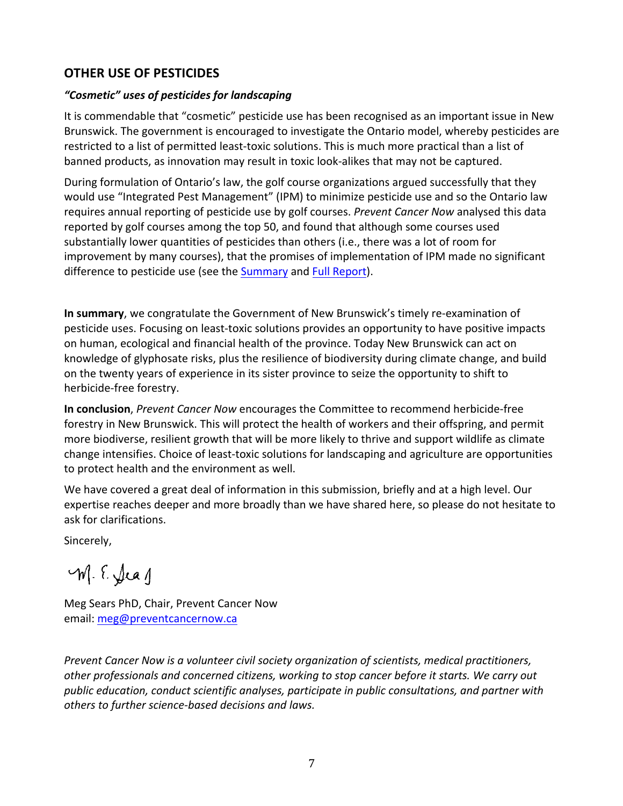#### **OTHER USE OF PESTICIDES**

#### *"Cosmetic" uses of pesticides for landscaping*

It is commendable that "cosmetic" pesticide use has been recognised as an important issue in New Brunswick. The government is encouraged to investigate the Ontario model, whereby pesticides are restricted to a list of permitted least-toxic solutions. This is much more practical than a list of banned products, as innovation may result in toxic look-alikes that may not be captured.

During formulation of Ontario's law, the golf course organizations argued successfully that they would use "Integrated Pest Management" (IPM) to minimize pesticide use and so the Ontario law requires annual reporting of pesticide use by golf courses. Prevent Cancer Now analysed this data reported by golf courses among the top 50, and found that although some courses used substantially lower quantities of pesticides than others (i.e., there was a lot of room for improvement by many courses), that the promises of implementation of IPM made no significant difference to pesticide use (see the Summary and Full Report).

In summary, we congratulate the Government of New Brunswick's timely re-examination of pesticide uses. Focusing on least-toxic solutions provides an opportunity to have positive impacts on human, ecological and financial health of the province. Today New Brunswick can act on knowledge of glyphosate risks, plus the resilience of biodiversity during climate change, and build on the twenty years of experience in its sister province to seize the opportunity to shift to herbicide-free forestry.

**In conclusion**, *Prevent Cancer Now* encourages the Committee to recommend herbicide-free forestry in New Brunswick. This will protect the health of workers and their offspring, and permit more biodiverse, resilient growth that will be more likely to thrive and support wildlife as climate change intensifies. Choice of least-toxic solutions for landscaping and agriculture are opportunities to protect health and the environment as well.

We have covered a great deal of information in this submission, briefly and at a high level. Our expertise reaches deeper and more broadly than we have shared here, so please do not hesitate to ask for clarifications.

Sincerely,

M. E. Jeag

Meg Sears PhD, Chair, Prevent Cancer Now email: meg@preventcancernow.ca

*Prevent Cancer Now is a volunteer civil society organization of scientists, medical practitioners,* other professionals and concerned citizens, working to stop cancer before it starts. We carry out public education, conduct scientific analyses, participate in public consultations, and partner with others to further science-based decisions and laws.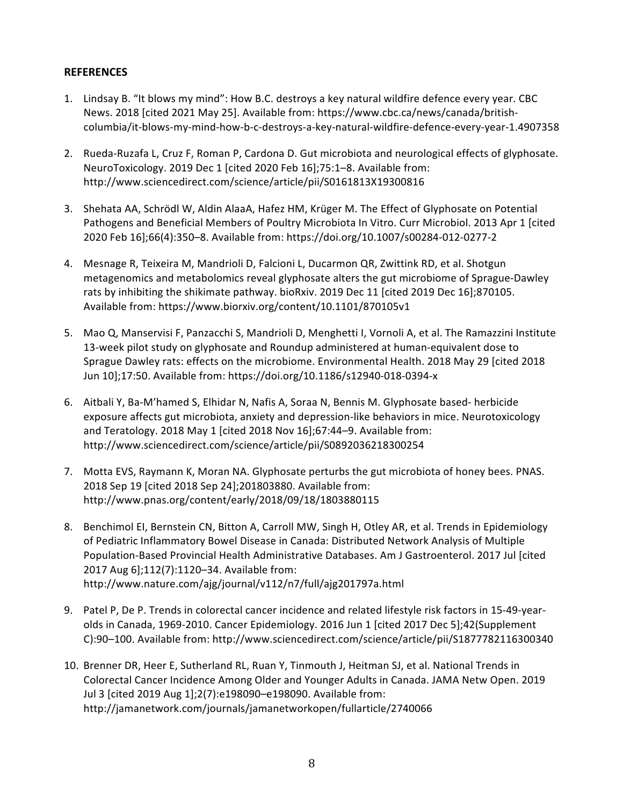#### **REFERENCES**

- 1. Lindsay B. "It blows my mind": How B.C. destroys a key natural wildfire defence every year. CBC News. 2018 [cited 2021 May 25]. Available from: https://www.cbc.ca/news/canada/britishcolumbia/it-blows-my-mind-how-b-c-destroys-a-key-natural-wildfire-defence-every-year-1.4907358
- 2. Rueda-Ruzafa L, Cruz F, Roman P, Cardona D. Gut microbiota and neurological effects of glyphosate. NeuroToxicology. 2019 Dec 1 [cited 2020 Feb 16];75:1-8. Available from: http://www.sciencedirect.com/science/article/pii/S0161813X19300816
- 3. Shehata AA, Schrödl W, Aldin AlaaA, Hafez HM, Krüger M. The Effect of Glyphosate on Potential Pathogens and Beneficial Members of Poultry Microbiota In Vitro. Curr Microbiol. 2013 Apr 1 [cited 2020 Feb 16];66(4):350–8. Available from: https://doi.org/10.1007/s00284-012-0277-2
- 4. Mesnage R, Teixeira M, Mandrioli D, Falcioni L, Ducarmon QR, Zwittink RD, et al. Shotgun metagenomics and metabolomics reveal glyphosate alters the gut microbiome of Sprague-Dawley rats by inhibiting the shikimate pathway. bioRxiv. 2019 Dec 11 [cited 2019 Dec 16];870105. Available from: https://www.biorxiv.org/content/10.1101/870105v1
- 5. Mao Q, Manservisi F, Panzacchi S, Mandrioli D, Menghetti I, Vornoli A, et al. The Ramazzini Institute 13-week pilot study on glyphosate and Roundup administered at human-equivalent dose to Sprague Dawley rats: effects on the microbiome. Environmental Health. 2018 May 29 [cited 2018 Jun 10];17:50. Available from: https://doi.org/10.1186/s12940-018-0394-x
- 6. Aitbali Y, Ba-M'hamed S, Elhidar N, Nafis A, Soraa N, Bennis M. Glyphosate based- herbicide exposure affects gut microbiota, anxiety and depression-like behaviors in mice. Neurotoxicology and Teratology. 2018 May 1 [cited 2018 Nov 16];67:44-9. Available from: http://www.sciencedirect.com/science/article/pii/S0892036218300254
- 7. Motta EVS, Raymann K, Moran NA. Glyphosate perturbs the gut microbiota of honey bees. PNAS. 2018 Sep 19 [cited 2018 Sep 24];201803880. Available from: http://www.pnas.org/content/early/2018/09/18/1803880115
- 8. Benchimol EI, Bernstein CN, Bitton A, Carroll MW, Singh H, Otley AR, et al. Trends in Epidemiology of Pediatric Inflammatory Bowel Disease in Canada: Distributed Network Analysis of Multiple Population-Based Provincial Health Administrative Databases. Am J Gastroenterol. 2017 Jul [cited 2017 Aug 6];112(7):1120-34. Available from: http://www.nature.com/ajg/journal/v112/n7/full/ajg201797a.html
- 9. Patel P, De P. Trends in colorectal cancer incidence and related lifestyle risk factors in 15-49-yearolds in Canada, 1969-2010. Cancer Epidemiology. 2016 Jun 1 [cited 2017 Dec 5];42(Supplement C):90-100. Available from: http://www.sciencedirect.com/science/article/pii/S1877782116300340
- 10. Brenner DR, Heer E, Sutherland RL, Ruan Y, Tinmouth J, Heitman SJ, et al. National Trends in Colorectal Cancer Incidence Among Older and Younger Adults in Canada. JAMA Netw Open. 2019 Jul 3 [cited 2019 Aug 1];2(7):e198090-e198090. Available from: http://jamanetwork.com/journals/jamanetworkopen/fullarticle/2740066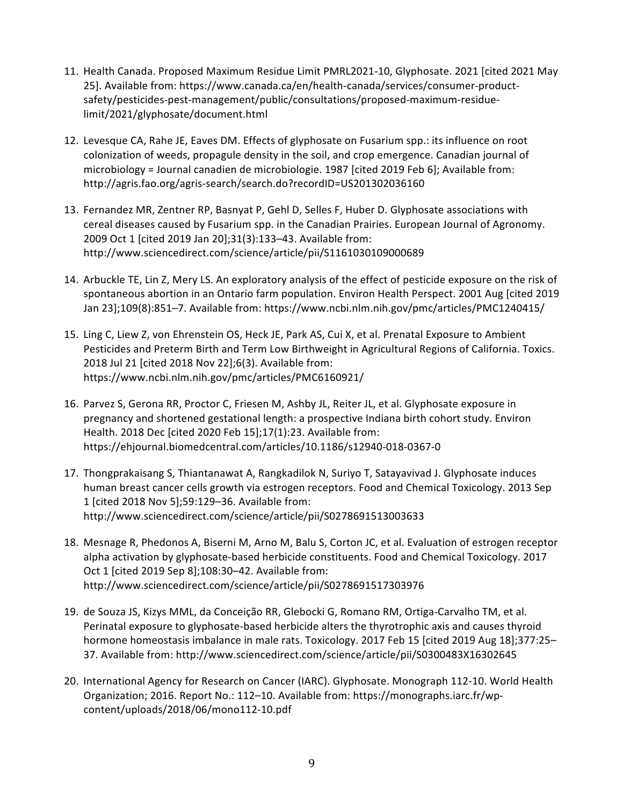- 11. Health Canada. Proposed Maximum Residue Limit PMRL2021-10, Glyphosate. 2021 [cited 2021 May 25]. Available from: https://www.canada.ca/en/health-canada/services/consumer-productsafety/pesticides-pest-management/public/consultations/proposed-maximum-residuelimit/2021/glyphosate/document.html
- 12. Levesque CA, Rahe JE, Eaves DM. Effects of glyphosate on Fusarium spp.: its influence on root colonization of weeds, propagule density in the soil, and crop emergence. Canadian journal of microbiology = Journal canadien de microbiologie.  $1987$  [cited 2019 Feb 6]; Available from: http://agris.fao.org/agris-search/search.do?recordID=US201302036160
- 13. Fernandez MR, Zentner RP, Basnyat P, Gehl D, Selles F, Huber D. Glyphosate associations with cereal diseases caused by Fusarium spp. in the Canadian Prairies. European Journal of Agronomy. 2009 Oct 1 [cited 2019 Jan 20];31(3):133-43. Available from: http://www.sciencedirect.com/science/article/pii/S1161030109000689
- 14. Arbuckle TE, Lin Z, Mery LS. An exploratory analysis of the effect of pesticide exposure on the risk of spontaneous abortion in an Ontario farm population. Environ Health Perspect. 2001 Aug [cited 2019 Jan 23];109(8):851-7. Available from: https://www.ncbi.nlm.nih.gov/pmc/articles/PMC1240415/
- 15. Ling C, Liew Z, von Ehrenstein OS, Heck JE, Park AS, Cui X, et al. Prenatal Exposure to Ambient Pesticides and Preterm Birth and Term Low Birthweight in Agricultural Regions of California. Toxics. 2018 Jul 21 [cited 2018 Nov 22];6(3). Available from: https://www.ncbi.nlm.nih.gov/pmc/articles/PMC6160921/
- 16. Parvez S, Gerona RR, Proctor C, Friesen M, Ashby JL, Reiter JL, et al. Glyphosate exposure in pregnancy and shortened gestational length: a prospective Indiana birth cohort study. Environ Health. 2018 Dec [cited 2020 Feb 15];17(1):23. Available from: https://ehjournal.biomedcentral.com/articles/10.1186/s12940-018-0367-0
- 17. Thongprakaisang S, Thiantanawat A, Rangkadilok N, Suriyo T, Satayavivad J. Glyphosate induces human breast cancer cells growth via estrogen receptors. Food and Chemical Toxicology. 2013 Sep 1 [cited 2018 Nov 5];59:129–36. Available from: http://www.sciencedirect.com/science/article/pii/S0278691513003633
- 18. Mesnage R, Phedonos A, Biserni M, Arno M, Balu S, Corton JC, et al. Evaluation of estrogen receptor alpha activation by glyphosate-based herbicide constituents. Food and Chemical Toxicology. 2017 Oct 1 [cited 2019 Sep 8];108:30-42. Available from: http://www.sciencedirect.com/science/article/pii/S0278691517303976
- 19. de Souza JS, Kizys MML, da Conceição RR, Glebocki G, Romano RM, Ortiga-Carvalho TM, et al. Perinatal exposure to glyphosate-based herbicide alters the thyrotrophic axis and causes thyroid hormone homeostasis imbalance in male rats. Toxicology. 2017 Feb 15 [cited 2019 Aug 18];377:25-37. Available from: http://www.sciencedirect.com/science/article/pii/S0300483X16302645
- 20. International Agency for Research on Cancer (IARC). Glyphosate. Monograph 112-10. World Health Organization; 2016. Report No.: 112–10. Available from: https://monographs.iarc.fr/wpcontent/uploads/2018/06/mono112-10.pdf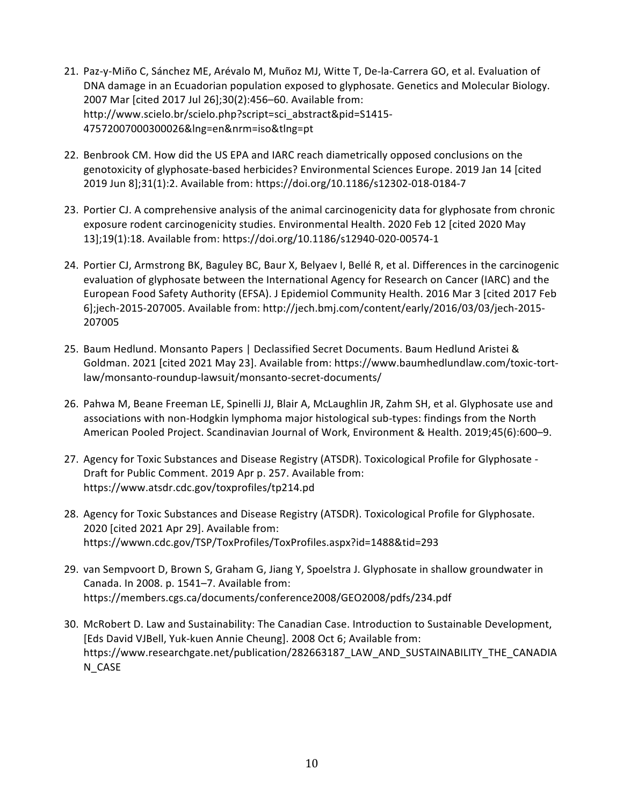- 21. Paz-y-Miño C, Sánchez ME, Arévalo M, Muñoz MJ, Witte T, De-la-Carrera GO, et al. Evaluation of DNA damage in an Ecuadorian population exposed to glyphosate. Genetics and Molecular Biology. 2007 Mar [cited 2017 Jul 26];30(2):456-60. Available from: http://www.scielo.br/scielo.php?script=sci\_abstract&pid=S1415- 47572007000300026&lng=en&nrm=iso&tlng=pt
- 22. Benbrook CM. How did the US EPA and IARC reach diametrically opposed conclusions on the genotoxicity of glyphosate-based herbicides? Environmental Sciences Europe. 2019 Jan 14 [cited 2019 Jun 8];31(1):2. Available from: https://doi.org/10.1186/s12302-018-0184-7
- 23. Portier CJ. A comprehensive analysis of the animal carcinogenicity data for glyphosate from chronic exposure rodent carcinogenicity studies. Environmental Health. 2020 Feb 12 [cited 2020 May 13];19(1):18. Available from: https://doi.org/10.1186/s12940-020-00574-1
- 24. Portier CJ, Armstrong BK, Baguley BC, Baur X, Belyaev I, Bellé R, et al. Differences in the carcinogenic evaluation of glyphosate between the International Agency for Research on Cancer (IARC) and the European Food Safety Authority (EFSA). J Epidemiol Community Health. 2016 Mar 3 [cited 2017 Feb 6];jech-2015-207005. Available from: http://jech.bmj.com/content/early/2016/03/03/jech-2015-207005
- 25. Baum Hedlund. Monsanto Papers | Declassified Secret Documents. Baum Hedlund Aristei & Goldman. 2021 [cited 2021 May 23]. Available from: https://www.baumhedlundlaw.com/toxic-tortlaw/monsanto-roundup-lawsuit/monsanto-secret-documents/
- 26. Pahwa M, Beane Freeman LE, Spinelli JJ, Blair A, McLaughlin JR, Zahm SH, et al. Glyphosate use and associations with non-Hodgkin lymphoma major histological sub-types: findings from the North American Pooled Project. Scandinavian Journal of Work, Environment & Health. 2019;45(6):600-9.
- 27. Agency for Toxic Substances and Disease Registry (ATSDR). Toxicological Profile for Glyphosate -Draft for Public Comment. 2019 Apr p. 257. Available from: https://www.atsdr.cdc.gov/toxprofiles/tp214.pd
- 28. Agency for Toxic Substances and Disease Registry (ATSDR). Toxicological Profile for Glyphosate. 2020 [cited 2021 Apr 29]. Available from: https://wwwn.cdc.gov/TSP/ToxProfiles/ToxProfiles.aspx?id=1488&tid=293
- 29. van Sempvoort D, Brown S, Graham G, Jiang Y, Spoelstra J. Glyphosate in shallow groundwater in Canada. In 2008. p. 1541-7. Available from: https://members.cgs.ca/documents/conference2008/GEO2008/pdfs/234.pdf
- 30. McRobert D. Law and Sustainability: The Canadian Case. Introduction to Sustainable Development, [Eds David VJBell, Yuk-kuen Annie Cheung]. 2008 Oct 6; Available from: https://www.researchgate.net/publication/282663187\_LAW\_AND\_SUSTAINABILITY\_THE\_CANADIA N\_CASE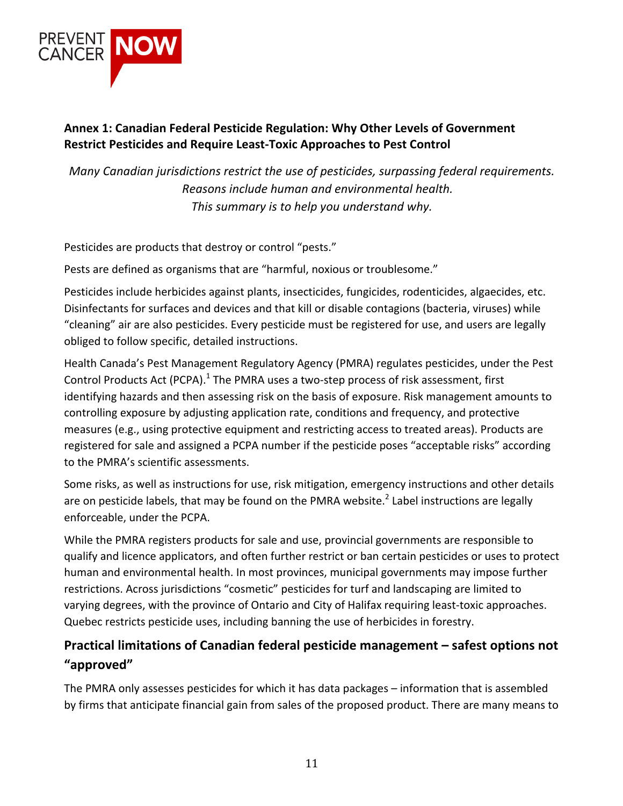

## Annex 1: Canadian Federal Pesticide Regulation: Why Other Levels of Government **Restrict Pesticides and Require Least-Toxic Approaches to Pest Control**

*Many Canadian jurisdictions restrict the use of pesticides, surpassing federal requirements. Reasons include human and environmental health.* This summary is to help you understand why.

Pesticides are products that destroy or control "pests."

Pests are defined as organisms that are "harmful, noxious or troublesome."

Pesticides include herbicides against plants, insecticides, fungicides, rodenticides, algaecides, etc. Disinfectants for surfaces and devices and that kill or disable contagions (bacteria, viruses) while "cleaning" air are also pesticides. Every pesticide must be registered for use, and users are legally obliged to follow specific, detailed instructions.

Health Canada's Pest Management Regulatory Agency (PMRA) regulates pesticides, under the Pest Control Products Act (PCPA).<sup>1</sup> The PMRA uses a two-step process of risk assessment, first identifying hazards and then assessing risk on the basis of exposure. Risk management amounts to controlling exposure by adjusting application rate, conditions and frequency, and protective measures (e.g., using protective equipment and restricting access to treated areas). Products are registered for sale and assigned a PCPA number if the pesticide poses "acceptable risks" according to the PMRA's scientific assessments.

Some risks, as well as instructions for use, risk mitigation, emergency instructions and other details are on pesticide labels, that may be found on the PMRA website.<sup>2</sup> Label instructions are legally enforceable, under the PCPA.

While the PMRA registers products for sale and use, provincial governments are responsible to qualify and licence applicators, and often further restrict or ban certain pesticides or uses to protect human and environmental health. In most provinces, municipal governments may impose further restrictions. Across jurisdictions "cosmetic" pesticides for turf and landscaping are limited to varying degrees, with the province of Ontario and City of Halifax requiring least-toxic approaches. Quebec restricts pesticide uses, including banning the use of herbicides in forestry.

# **Practical limitations of Canadian federal pesticide management – safest options not "approved"**

The PMRA only assesses pesticides for which it has data packages – information that is assembled by firms that anticipate financial gain from sales of the proposed product. There are many means to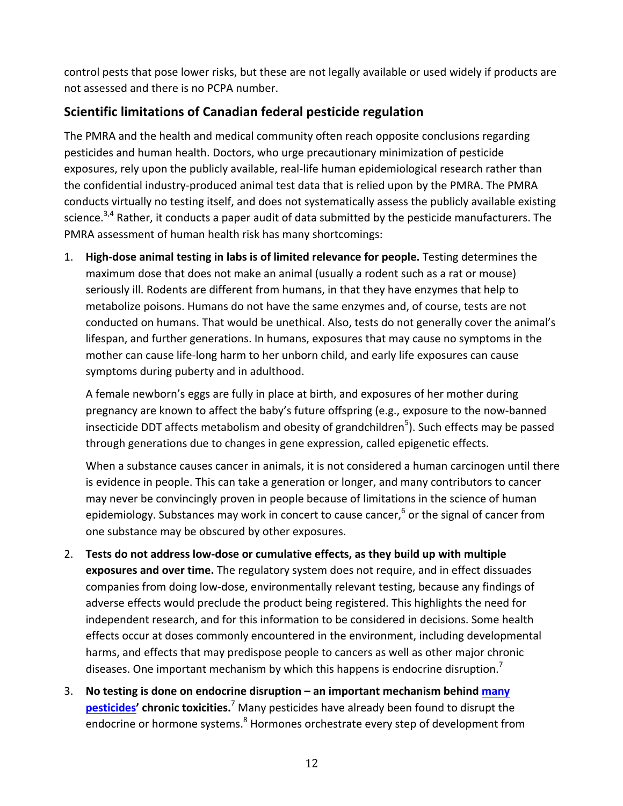control pests that pose lower risks, but these are not legally available or used widely if products are not assessed and there is no PCPA number.

# **Scientific limitations of Canadian federal pesticide regulation**

The PMRA and the health and medical community often reach opposite conclusions regarding pesticides and human health. Doctors, who urge precautionary minimization of pesticide exposures, rely upon the publicly available, real-life human epidemiological research rather than the confidential industry-produced animal test data that is relied upon by the PMRA. The PMRA conducts virtually no testing itself, and does not systematically assess the publicly available existing science.<sup>3,4</sup> Rather, it conducts a paper audit of data submitted by the pesticide manufacturers. The PMRA assessment of human health risk has many shortcomings:

1. High-dose animal testing in labs is of limited relevance for people. Testing determines the maximum dose that does not make an animal (usually a rodent such as a rat or mouse) seriously ill. Rodents are different from humans, in that they have enzymes that help to metabolize poisons. Humans do not have the same enzymes and, of course, tests are not conducted on humans. That would be unethical. Also, tests do not generally cover the animal's lifespan, and further generations. In humans, exposures that may cause no symptoms in the mother can cause life-long harm to her unborn child, and early life exposures can cause symptoms during puberty and in adulthood.

A female newborn's eggs are fully in place at birth, and exposures of her mother during pregnancy are known to affect the baby's future offspring (e.g., exposure to the now-banned insecticide DDT affects metabolism and obesity of grandchildren<sup>5</sup>). Such effects may be passed through generations due to changes in gene expression, called epigenetic effects.

When a substance causes cancer in animals, it is not considered a human carcinogen until there is evidence in people. This can take a generation or longer, and many contributors to cancer may never be convincingly proven in people because of limitations in the science of human epidemiology. Substances may work in concert to cause cancer,<sup>6</sup> or the signal of cancer from one substance may be obscured by other exposures.

- 2. Tests do not address low-dose or cumulative effects, as they build up with multiple **exposures and over time.** The regulatory system does not require, and in effect dissuades companies from doing low-dose, environmentally relevant testing, because any findings of adverse effects would preclude the product being registered. This highlights the need for independent research, and for this information to be considered in decisions. Some health effects occur at doses commonly encountered in the environment, including developmental harms, and effects that may predispose people to cancers as well as other major chronic diseases. One important mechanism by which this happens is endocrine disruption.<sup>7</sup>
- 3. No testing is done on endocrine disruption an important mechanism behind many **pesticides'** chronic toxicities.<sup>7</sup> Many pesticides have already been found to disrupt the endocrine or hormone systems.<sup>8</sup> Hormones orchestrate every step of development from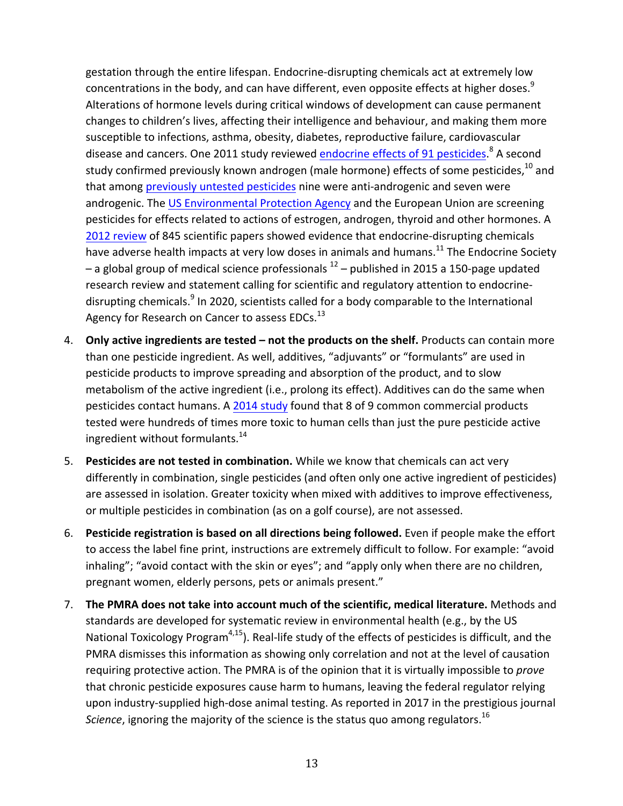gestation through the entire lifespan. Endocrine-disrupting chemicals act at extremely low concentrations in the body, and can have different, even opposite effects at higher doses.<sup>9</sup> Alterations of hormone levels during critical windows of development can cause permanent changes to children's lives, affecting their intelligence and behaviour, and making them more susceptible to infections, asthma, obesity, diabetes, reproductive failure, cardiovascular disease and cancers. One 2011 study reviewed endocrine effects of 91 pesticides.<sup>8</sup> A second study confirmed previously known androgen (male hormone) effects of some pesticides.<sup>10</sup> and that among previously untested pesticides nine were anti-androgenic and seven were androgenic. The US Environmental Protection Agency and the European Union are screening pesticides for effects related to actions of estrogen, androgen, thyroid and other hormones. A 2012 review of 845 scientific papers showed evidence that endocrine-disrupting chemicals have adverse health impacts at very low doses in animals and humans.<sup>11</sup> The Endocrine Society – a global group of medical science professionals  $12$  – published in 2015 a 150-page updated research review and statement calling for scientific and regulatory attention to endocrinedisrupting chemicals.<sup>9</sup> In 2020, scientists called for a body comparable to the International Agency for Research on Cancer to assess EDCs.<sup>13</sup>

- 4. Only active ingredients are tested not the products on the shelf. Products can contain more than one pesticide ingredient. As well, additives, "adjuvants" or "formulants" are used in pesticide products to improve spreading and absorption of the product, and to slow metabolism of the active ingredient (i.e., prolong its effect). Additives can do the same when pesticides contact humans. A 2014 study found that 8 of 9 common commercial products tested were hundreds of times more toxic to human cells than just the pure pesticide active ingredient without formulants. $14$
- 5. **Pesticides are not tested in combination.** While we know that chemicals can act very differently in combination, single pesticides (and often only one active ingredient of pesticides) are assessed in isolation. Greater toxicity when mixed with additives to improve effectiveness, or multiple pesticides in combination (as on a golf course), are not assessed.
- 6. **Pesticide registration is based on all directions being followed.** Even if people make the effort to access the label fine print, instructions are extremely difficult to follow. For example: "avoid inhaling"; "avoid contact with the skin or eyes"; and "apply only when there are no children, pregnant women, elderly persons, pets or animals present."
- 7. The PMRA does not take into account much of the scientific, medical literature. Methods and standards are developed for systematic review in environmental health (e.g., by the US National Toxicology Program<sup>4,15</sup>). Real-life study of the effects of pesticides is difficult, and the PMRA dismisses this information as showing only correlation and not at the level of causation requiring protective action. The PMRA is of the opinion that it is virtually impossible to *prove* that chronic pesticide exposures cause harm to humans, leaving the federal regulator relying upon industry-supplied high-dose animal testing. As reported in 2017 in the prestigious journal *Science*, ignoring the majority of the science is the status quo among regulators.<sup>16</sup>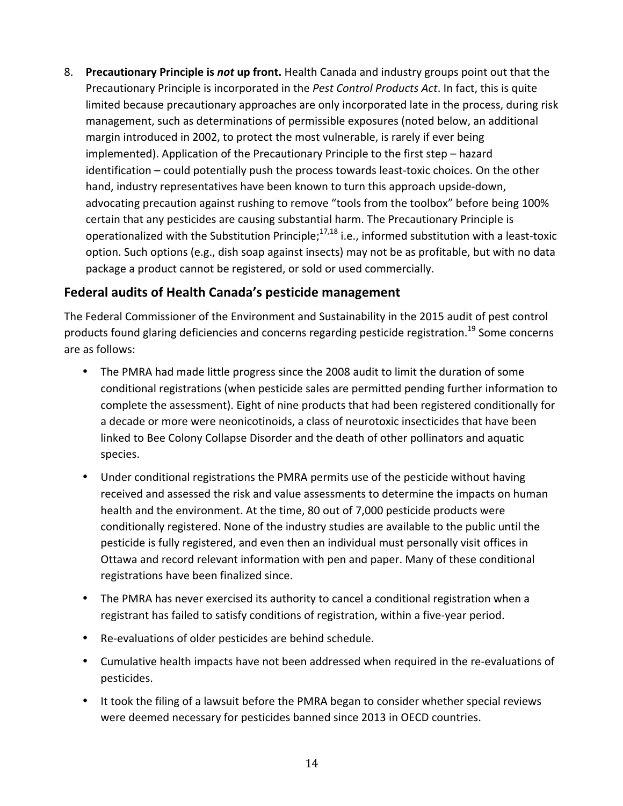8. **Precautionary Principle is not up front.** Health Canada and industry groups point out that the Precautionary Principle is incorporated in the *Pest Control Products Act*. In fact, this is quite limited because precautionary approaches are only incorporated late in the process, during risk management, such as determinations of permissible exposures (noted below, an additional margin introduced in 2002, to protect the most vulnerable, is rarely if ever being implemented). Application of the Precautionary Principle to the first step – hazard identification – could potentially push the process towards least-toxic choices. On the other hand, industry representatives have been known to turn this approach upside-down, advocating precaution against rushing to remove "tools from the toolbox" before being 100% certain that any pesticides are causing substantial harm. The Precautionary Principle is operationalized with the Substitution Principle;<sup>17,18</sup> i.e., informed substitution with a least-toxic option. Such options (e.g., dish soap against insects) may not be as profitable, but with no data package a product cannot be registered, or sold or used commercially.

## **Federal audits of Health Canada's pesticide management**

The Federal Commissioner of the Environment and Sustainability in the 2015 audit of pest control products found glaring deficiencies and concerns regarding pesticide registration.<sup>19</sup> Some concerns are as follows:

- The PMRA had made little progress since the 2008 audit to limit the duration of some conditional registrations (when pesticide sales are permitted pending further information to complete the assessment). Eight of nine products that had been registered conditionally for a decade or more were neonicotinoids, a class of neurotoxic insecticides that have been linked to Bee Colony Collapse Disorder and the death of other pollinators and aquatic species.
- Under conditional registrations the PMRA permits use of the pesticide without having received and assessed the risk and value assessments to determine the impacts on human health and the environment. At the time, 80 out of 7,000 pesticide products were conditionally registered. None of the industry studies are available to the public until the pesticide is fully registered, and even then an individual must personally visit offices in Ottawa and record relevant information with pen and paper. Many of these conditional registrations have been finalized since.
- The PMRA has never exercised its authority to cancel a conditional registration when a registrant has failed to satisfy conditions of registration, within a five-year period.
- Re-evaluations of older pesticides are behind schedule.
- Cumulative health impacts have not been addressed when required in the re-evaluations of pesticides.
- It took the filing of a lawsuit before the PMRA began to consider whether special reviews were deemed necessary for pesticides banned since 2013 in OECD countries.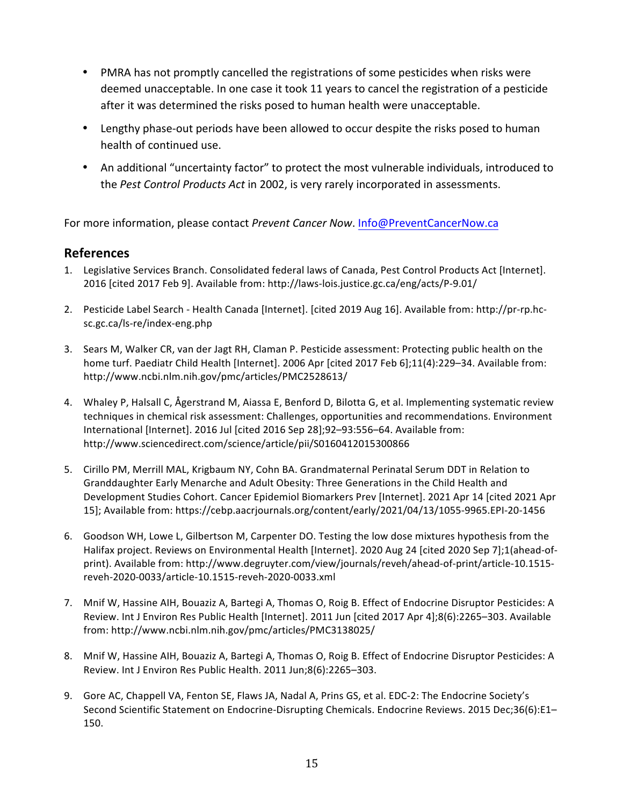- PMRA has not promptly cancelled the registrations of some pesticides when risks were deemed unacceptable. In one case it took 11 years to cancel the registration of a pesticide after it was determined the risks posed to human health were unacceptable.
- Lengthy phase-out periods have been allowed to occur despite the risks posed to human health of continued use.
- An additional "uncertainty factor" to protect the most vulnerable individuals, introduced to the Pest Control Products Act in 2002, is very rarely incorporated in assessments.

For more information, please contact Prevent Cancer Now. Info@PreventCancerNow.ca

#### **References**

- 1. Legislative Services Branch. Consolidated federal laws of Canada, Pest Control Products Act [Internet]. 2016 [cited 2017 Feb 9]. Available from: http://laws-lois.justice.gc.ca/eng/acts/P-9.01/
- 2. Pesticide Label Search Health Canada [Internet]. [cited 2019 Aug 16]. Available from: http://pr-rp.hcsc.gc.ca/ls-re/index-eng.php
- 3. Sears M, Walker CR, van der Jagt RH, Claman P. Pesticide assessment: Protecting public health on the home turf. Paediatr Child Health [Internet]. 2006 Apr [cited 2017 Feb 6];11(4):229-34. Available from: http://www.ncbi.nlm.nih.gov/pmc/articles/PMC2528613/
- 4. Whaley P, Halsall C, Ågerstrand M, Aiassa E, Benford D, Bilotta G, et al. Implementing systematic review techniques in chemical risk assessment: Challenges, opportunities and recommendations. Environment International [Internet]. 2016 Jul [cited 2016 Sep 28];92-93:556-64. Available from: http://www.sciencedirect.com/science/article/pii/S0160412015300866
- 5. Cirillo PM, Merrill MAL, Krigbaum NY, Cohn BA. Grandmaternal Perinatal Serum DDT in Relation to Granddaughter Early Menarche and Adult Obesity: Three Generations in the Child Health and Development Studies Cohort. Cancer Epidemiol Biomarkers Prev [Internet]. 2021 Apr 14 [cited 2021 Apr 15]; Available from: https://cebp.aacriournals.org/content/early/2021/04/13/1055-9965.EPI-20-1456
- 6. Goodson WH, Lowe L, Gilbertson M, Carpenter DO. Testing the low dose mixtures hypothesis from the Halifax project. Reviews on Environmental Health [Internet]. 2020 Aug 24 [cited 2020 Sep 7];1(ahead-ofprint). Available from: http://www.degruyter.com/view/journals/reveh/ahead-of-print/article-10.1515reveh-2020-0033/article-10.1515-reveh-2020-0033.xml
- 7. Mnif W, Hassine AIH, Bouaziz A, Bartegi A, Thomas O, Roig B. Effect of Endocrine Disruptor Pesticides: A Review. Int J Environ Res Public Health [Internet]. 2011 Jun [cited 2017 Apr 4];8(6):2265-303. Available from: http://www.ncbi.nlm.nih.gov/pmc/articles/PMC3138025/
- 8. Mnif W, Hassine AIH, Bouaziz A, Bartegi A, Thomas O, Roig B. Effect of Endocrine Disruptor Pesticides: A Review. Int J Environ Res Public Health. 2011 Jun;8(6):2265-303.
- 9. Gore AC, Chappell VA, Fenton SE, Flaws JA, Nadal A, Prins GS, et al. EDC-2: The Endocrine Society's Second Scientific Statement on Endocrine-Disrupting Chemicals. Endocrine Reviews. 2015 Dec;36(6):E1-150.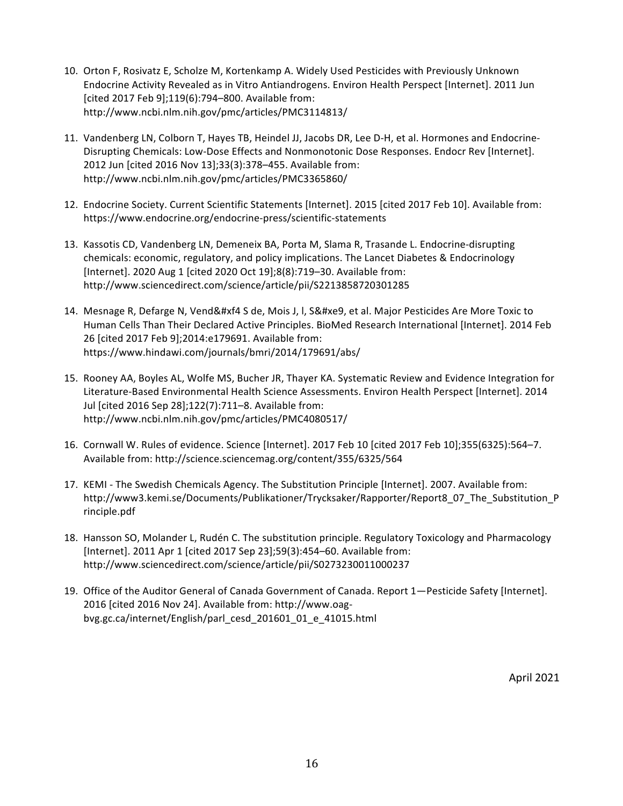- 10. Orton F, Rosivatz E, Scholze M, Kortenkamp A. Widely Used Pesticides with Previously Unknown Endocrine Activity Revealed as in Vitro Antiandrogens. Environ Health Perspect [Internet]. 2011 Jun [cited 2017 Feb 9];119(6):794-800. Available from: http://www.ncbi.nlm.nih.gov/pmc/articles/PMC3114813/
- 11. Vandenberg LN, Colborn T, Hayes TB, Heindel JJ, Jacobs DR, Lee D-H, et al. Hormones and Endocrine-Disrupting Chemicals: Low-Dose Effects and Nonmonotonic Dose Responses. Endocr Rev [Internet]. 2012 Jun [cited 2016 Nov 13];33(3):378-455. Available from: http://www.ncbi.nlm.nih.gov/pmc/articles/PMC3365860/
- 12. Endocrine Society. Current Scientific Statements [Internet]. 2015 [cited 2017 Feb 10]. Available from: https://www.endocrine.org/endocrine-press/scientific-statements
- 13. Kassotis CD, Vandenberg LN, Demeneix BA, Porta M, Slama R, Trasande L. Endocrine-disrupting chemicals: economic, regulatory, and policy implications. The Lancet Diabetes & Endocrinology [Internet]. 2020 Aug 1 [cited 2020 Oct 19];8(8):719-30. Available from: http://www.sciencedirect.com/science/article/pii/S2213858720301285
- 14. Mesnage R, Defarge N, Vend&#xf4 S de, Mois J, I, S&#xe9, et al. Major Pesticides Are More Toxic to Human Cells Than Their Declared Active Principles. BioMed Research International [Internet]. 2014 Feb 26 [cited 2017 Feb 9];2014:e179691. Available from: https://www.hindawi.com/journals/bmri/2014/179691/abs/
- 15. Rooney AA, Boyles AL, Wolfe MS, Bucher JR, Thayer KA. Systematic Review and Evidence Integration for Literature-Based Environmental Health Science Assessments. Environ Health Perspect [Internet]. 2014 Jul [cited 2016 Sep 28];122(7):711–8. Available from: http://www.ncbi.nlm.nih.gov/pmc/articles/PMC4080517/
- 16. Cornwall W. Rules of evidence. Science [Internet]. 2017 Feb 10 [cited 2017 Feb 10];355(6325):564–7. Available from: http://science.sciencemag.org/content/355/6325/564
- 17. KEMI The Swedish Chemicals Agency. The Substitution Principle [Internet]. 2007. Available from: http://www3.kemi.se/Documents/Publikationer/Trycksaker/Rapporter/Report8\_07\_The\_Substitution\_P rinciple.pdf
- 18. Hansson SO, Molander L, Rudén C. The substitution principle. Regulatory Toxicology and Pharmacology [Internet]. 2011 Apr 1 [cited 2017 Sep 23];59(3):454-60. Available from: http://www.sciencedirect.com/science/article/pii/S0273230011000237
- 19. Office of the Auditor General of Canada Government of Canada. Report 1—Pesticide Safety [Internet]. 2016 [cited 2016 Nov 24]. Available from: http://www.oagbvg.gc.ca/internet/English/parl\_cesd\_201601\_01\_e\_41015.html

April 2021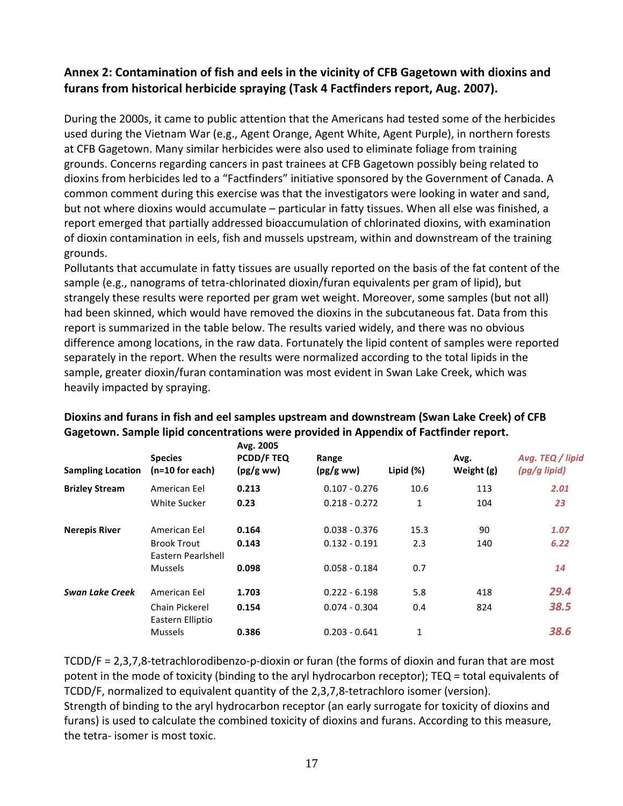#### Annex 2: Contamination of fish and eels in the vicinity of CFB Gagetown with dioxins and furans from historical herbicide spraying (Task 4 Factfinders report, Aug. 2007).

During the 2000s, it came to public attention that the Americans had tested some of the herbicides used during the Vietnam War (e.g., Agent Orange, Agent White, Agent Purple), in northern forests at CFB Gagetown. Many similar herbicides were also used to eliminate foliage from training grounds. Concerns regarding cancers in past trainees at CFB Gagetown possibly being related to dioxins from herbicides led to a "Factfinders" initiative sponsored by the Government of Canada. A common comment during this exercise was that the investigators were looking in water and sand, but not where dioxins would accumulate – particular in fatty tissues. When all else was finished, a report emerged that partially addressed bioaccumulation of chlorinated dioxins, with examination of dioxin contamination in eels, fish and mussels upstream, within and downstream of the training grounds.

Pollutants that accumulate in fatty tissues are usually reported on the basis of the fat content of the sample (e.g., nanograms of tetra-chlorinated dioxin/furan equivalents per gram of lipid), but strangely these results were reported per gram wet weight. Moreover, some samples (but not all) had been skinned, which would have removed the dioxins in the subcutaneous fat. Data from this report is summarized in the table below. The results varied widely, and there was no obvious difference among locations, in the raw data. Fortunately the lipid content of samples were reported separately in the report. When the results were normalized according to the total lipids in the sample, greater dioxin/furan contamination was most evident in Swan Lake Creek, which was heavily impacted by spraying.

| <b>Sampling Location</b> | <b>Species</b><br>$(n=10$ for each)      | Avg. 2005<br><b>PCDD/F TEQ</b><br>(pg/gww) | Range<br>(pg/gww) | Lipid $(\%)$ | Avg.<br>Weight (g) | Avg. TEQ / lipid<br>(pg/g lipid) |
|--------------------------|------------------------------------------|--------------------------------------------|-------------------|--------------|--------------------|----------------------------------|
| <b>Brizley Stream</b>    | American Eel                             | 0.213                                      | $0.107 - 0.276$   | 10.6         | 113                | 2.01                             |
|                          | White Sucker                             | 0.23                                       | $0.218 - 0.272$   | 1            | 104                | 23                               |
| <b>Nerepis River</b>     | American Eel                             | 0.164                                      | $0.038 - 0.376$   | 15.3         | 90                 | 1.07                             |
|                          | <b>Brook Trout</b><br>Eastern Pearlshell | 0.143                                      | $0.132 - 0.191$   | 2.3          | 140                | 6.22                             |
|                          | <b>Mussels</b>                           | 0.098                                      | $0.058 - 0.184$   | 0.7          |                    | 14                               |
| <b>Swan Lake Creek</b>   | American Eel                             | 1.703                                      | $0.222 - 6.198$   | 5.8          | 418                | 29.4                             |
|                          | Chain Pickerel                           | 0.154                                      | $0.074 - 0.304$   | 0.4          | 824                | 38.5                             |
|                          | Eastern Elliptio                         |                                            |                   |              |                    |                                  |
|                          | <b>Mussels</b>                           | 0.386                                      | $0.203 - 0.641$   | $\mathbf{1}$ |                    | 38.6                             |

#### Dioxins and furans in fish and eel samples upstream and downstream (Swan Lake Creek) of CFB Gagetown. Sample lipid concentrations were provided in Appendix of Factfinder report.

 $TCDD/F = 2,3,7,8$ -tetrachlorodibenzo-p-dioxin or furan (the forms of dioxin and furan that are most potent in the mode of toxicity (binding to the aryl hydrocarbon receptor); TEQ = total equivalents of TCDD/F, normalized to equivalent quantity of the 2,3,7,8-tetrachloro isomer (version). Strength of binding to the aryl hydrocarbon receptor (an early surrogate for toxicity of dioxins and furans) is used to calculate the combined toxicity of dioxins and furans. According to this measure, the tetra- isomer is most toxic.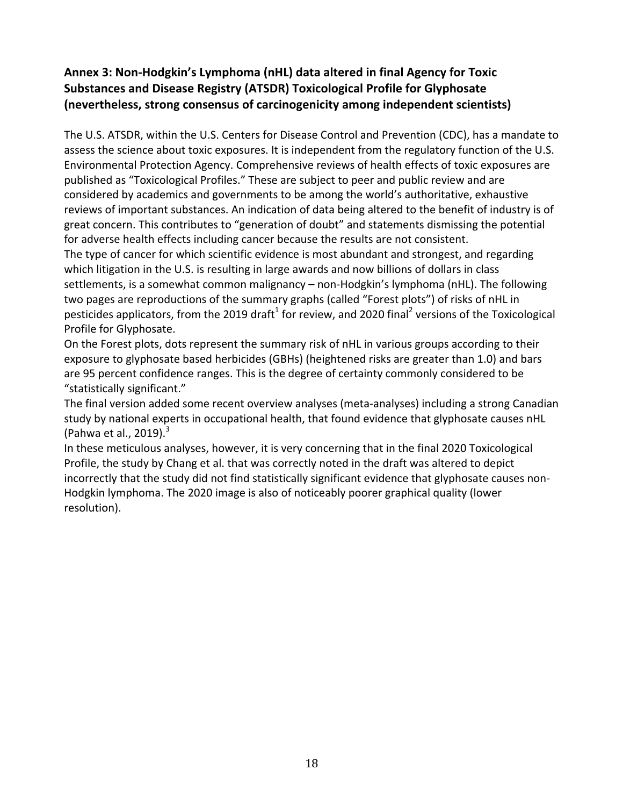## Annex 3: Non-Hodgkin's Lymphoma (nHL) data altered in final Agency for Toxic **Substances and Disease Registry (ATSDR) Toxicological Profile for Glyphosate (nevertheless, strong consensus of carcinogenicity among independent scientists)**

The U.S. ATSDR, within the U.S. Centers for Disease Control and Prevention (CDC), has a mandate to assess the science about toxic exposures. It is independent from the regulatory function of the U.S. Environmental Protection Agency. Comprehensive reviews of health effects of toxic exposures are published as "Toxicological Profiles." These are subject to peer and public review and are considered by academics and governments to be among the world's authoritative, exhaustive reviews of important substances. An indication of data being altered to the benefit of industry is of great concern. This contributes to "generation of doubt" and statements dismissing the potential for adverse health effects including cancer because the results are not consistent.

The type of cancer for which scientific evidence is most abundant and strongest, and regarding which litigation in the U.S. is resulting in large awards and now billions of dollars in class settlements, is a somewhat common malignancy - non-Hodgkin's lymphoma (nHL). The following two pages are reproductions of the summary graphs (called "Forest plots") of risks of nHL in pesticides applicators, from the 2019 draft<sup>1</sup> for review, and 2020 final<sup>2</sup> versions of the Toxicological Profile for Glyphosate.

On the Forest plots, dots represent the summary risk of nHL in various groups according to their exposure to glyphosate based herbicides (GBHs) (heightened risks are greater than 1.0) and bars are 95 percent confidence ranges. This is the degree of certainty commonly considered to be "statistically significant."

The final version added some recent overview analyses (meta-analyses) including a strong Canadian study by national experts in occupational health, that found evidence that glyphosate causes nHL (Pahwa et al.,  $2019$ ).<sup>3</sup>

In these meticulous analyses, however, it is very concerning that in the final 2020 Toxicological Profile, the study by Chang et al. that was correctly noted in the draft was altered to depict incorrectly that the study did not find statistically significant evidence that glyphosate causes non-Hodgkin lymphoma. The 2020 image is also of noticeably poorer graphical quality (lower resolution).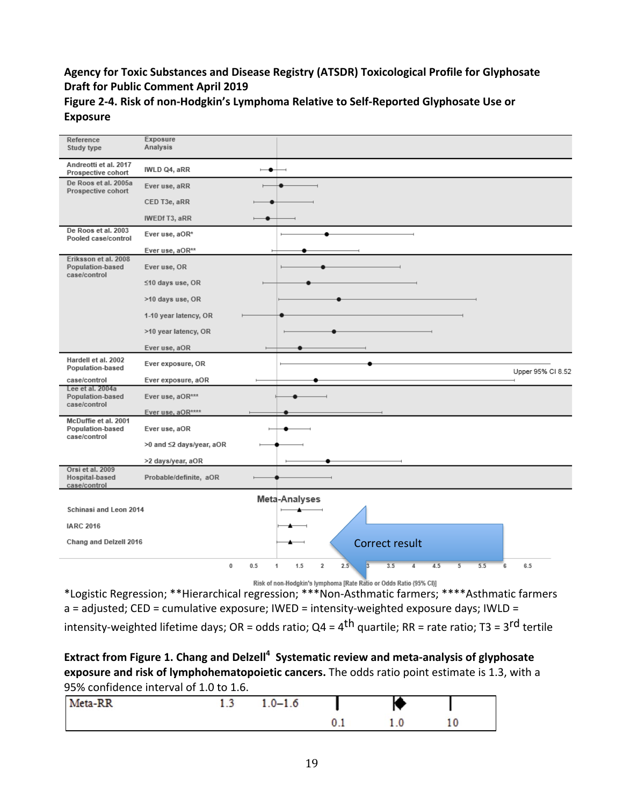#### Agency for Toxic Substances and Disease Registry (ATSDR) Toxicological Profile for Glyphosate **Draft for Public Comment April 2019**

| Reference<br>Study type                                         | Exposure<br>Analysis     |                          |                                   |                       |                              |                   |
|-----------------------------------------------------------------|--------------------------|--------------------------|-----------------------------------|-----------------------|------------------------------|-------------------|
| Andreotti et al. 2017<br>Prospective cohort                     | IWLD Q4, aRR             | $\overline{\phantom{a}}$ |                                   |                       |                              |                   |
| De Roos et al. 2005a<br>Prospective cohort                      | Ever use, aRR            |                          |                                   |                       |                              |                   |
|                                                                 | CED T3e, aRR             |                          |                                   |                       |                              |                   |
|                                                                 | IWEDf T3, aRR            |                          |                                   |                       |                              |                   |
| De Roos et al. 2003<br>Pooled case/control                      | Ever use, aOR*           |                          |                                   |                       |                              |                   |
|                                                                 | Ever use, aOR**          |                          |                                   |                       |                              |                   |
| Eriksson et al. 2008<br>Population-based<br>case/control        | Ever use, OR             |                          |                                   |                       |                              |                   |
|                                                                 | ≤10 days use, OR         |                          |                                   |                       |                              |                   |
|                                                                 | >10 days use, OR         |                          |                                   |                       |                              |                   |
|                                                                 | 1-10 year latency, OR    |                          |                                   |                       |                              |                   |
|                                                                 | >10 year latency, OR     |                          |                                   |                       |                              |                   |
|                                                                 | Ever use, aOR            |                          |                                   |                       |                              |                   |
| Hardell et al. 2002<br>Population-based                         | Ever exposure, OR        |                          |                                   |                       |                              | Upper 95% Cl 8.52 |
| case/control                                                    | Ever exposure, aOR       |                          |                                   |                       |                              |                   |
| Lee et al. 2004a<br>Population-based<br>case/control            | Ever use, aOR***         |                          |                                   |                       |                              |                   |
|                                                                 | Ever use, aOR****        |                          |                                   |                       |                              |                   |
| McDuffie et al. 2001<br><b>Population-based</b><br>case/control | Ever use, aOR            |                          |                                   |                       |                              |                   |
|                                                                 | >0 and ≤2 days/year, aOR |                          |                                   |                       |                              |                   |
|                                                                 | >2 days/year, aOR        |                          |                                   |                       |                              |                   |
| Orsi et al. 2009<br>Hospital-based<br>case/control              | Probable/definite, aOR   |                          |                                   |                       |                              |                   |
|                                                                 |                          |                          | Meta-Analyses                     |                       |                              |                   |
| Schinasi and Leon 2014                                          |                          |                          |                                   |                       |                              |                   |
| <b>IARC 2016</b>                                                |                          |                          |                                   |                       |                              |                   |
| Chang and Delzell 2016                                          |                          |                          |                                   | Correct result        |                              |                   |
|                                                                 | $\bf{0}$                 | 0.5                      | $\overline{2}$<br>1.5<br>2.5<br>1 | 3.5<br>$\overline{4}$ | 4.5<br>$\overline{5}$<br>5.5 | 6<br>6.5          |

Figure 2-4. Risk of non-Hodgkin's Lymphoma Relative to Self-Reported Glyphosate Use or **Exposure** 

\*Logistic Regression; \*\*Hierarchical regression; \*\*\*Non-Asthmatic farmers; \*\*\*\*Asthmatic farmers \*Logistic Regression; \*\*Hierarchical regression; \*\*\*Non-Asthmatic farmers; \*\*\*\*Asthmatic farmers a  $\frac{1}{\sqrt{2}}$  and  $\frac{1}{\sqrt{2}}$  intensity-weighted exposure days; INLD  $\frac{1}{\sqrt{2}}$  intensity-weighted exposure days; INLD  $\frac{1}{\sqrt{2}}$  $a =$  adjusted; CED = cumulative exposure; IWED = intensity-weighted exposure days; IWLD =

intensity-weighted lifetime days; OR = odds ratio; Q4 = 4<sup>th</sup> quartile; RR = rate ratio; T3 = 3<sup>rd</sup> tertile

#### Extract from Figure 1. Chang and Delzell<sup>4</sup> Systematic review and meta-analysis of glyphosate exposure and risk of lymphohematopoietic cancers. The odds ratio point estimate is 1.3, with a 95% confidence interval of 1.0 to 1.6.

| Meta-RR<br>and the company's starts. | . | $1.0 - 1.0$ |               |          |    |  |
|--------------------------------------|---|-------------|---------------|----------|----|--|
|                                      |   |             | $\sim$ $\sim$ | $\cdots$ | ιv |  |